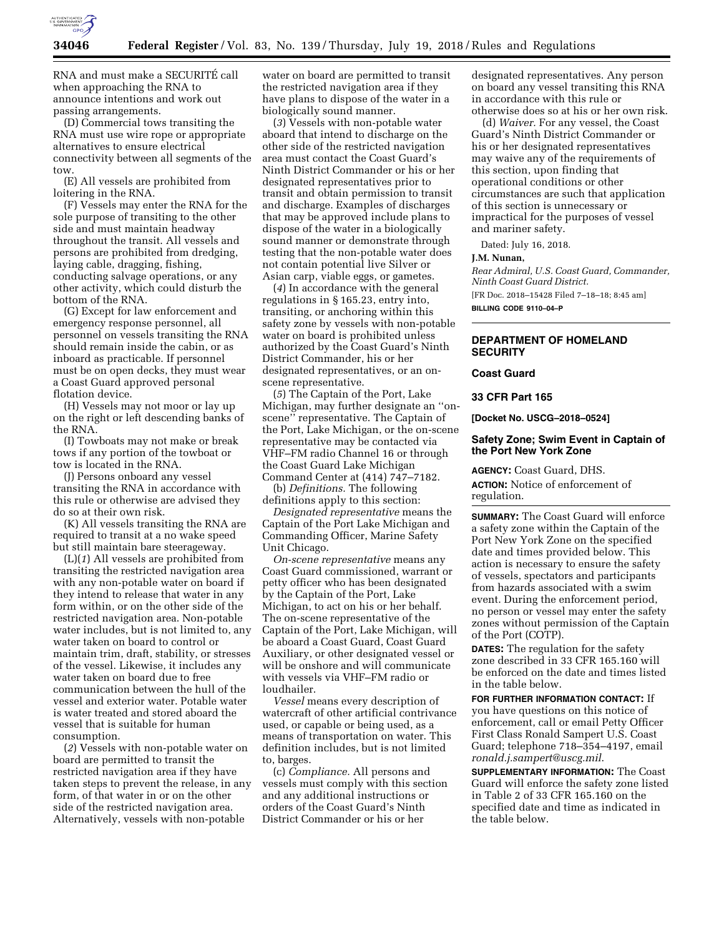

RNA and must make a SECURITE´ call when approaching the RNA to announce intentions and work out passing arrangements.

(D) Commercial tows transiting the RNA must use wire rope or appropriate alternatives to ensure electrical connectivity between all segments of the tow.

(E) All vessels are prohibited from loitering in the RNA.

(F) Vessels may enter the RNA for the sole purpose of transiting to the other side and must maintain headway throughout the transit. All vessels and persons are prohibited from dredging, laying cable, dragging, fishing, conducting salvage operations, or any other activity, which could disturb the bottom of the RNA.

(G) Except for law enforcement and emergency response personnel, all personnel on vessels transiting the RNA should remain inside the cabin, or as inboard as practicable. If personnel must be on open decks, they must wear a Coast Guard approved personal flotation device.

(H) Vessels may not moor or lay up on the right or left descending banks of the RNA.

(I) Towboats may not make or break tows if any portion of the towboat or tow is located in the RNA.

(J) Persons onboard any vessel transiting the RNA in accordance with this rule or otherwise are advised they do so at their own risk.

(K) All vessels transiting the RNA are required to transit at a no wake speed but still maintain bare steerageway.

(L)(*1*) All vessels are prohibited from transiting the restricted navigation area with any non-potable water on board if they intend to release that water in any form within, or on the other side of the restricted navigation area. Non-potable water includes, but is not limited to, any water taken on board to control or maintain trim, draft, stability, or stresses of the vessel. Likewise, it includes any water taken on board due to free communication between the hull of the vessel and exterior water. Potable water is water treated and stored aboard the vessel that is suitable for human consumption.

(*2*) Vessels with non-potable water on board are permitted to transit the restricted navigation area if they have taken steps to prevent the release, in any form, of that water in or on the other side of the restricted navigation area. Alternatively, vessels with non-potable

water on board are permitted to transit the restricted navigation area if they have plans to dispose of the water in a biologically sound manner.

(*3*) Vessels with non-potable water aboard that intend to discharge on the other side of the restricted navigation area must contact the Coast Guard's Ninth District Commander or his or her designated representatives prior to transit and obtain permission to transit and discharge. Examples of discharges that may be approved include plans to dispose of the water in a biologically sound manner or demonstrate through testing that the non-potable water does not contain potential live Silver or Asian carp, viable eggs, or gametes.

(*4*) In accordance with the general regulations in § 165.23, entry into, transiting, or anchoring within this safety zone by vessels with non-potable water on board is prohibited unless authorized by the Coast Guard's Ninth District Commander, his or her designated representatives, or an onscene representative.

(*5*) The Captain of the Port, Lake Michigan, may further designate an ''onscene'' representative. The Captain of the Port, Lake Michigan, or the on-scene representative may be contacted via VHF–FM radio Channel 16 or through the Coast Guard Lake Michigan Command Center at (414) 747–7182.

(b) *Definitions.* The following definitions apply to this section:

*Designated representative* means the Captain of the Port Lake Michigan and Commanding Officer, Marine Safety Unit Chicago.

*On-scene representative* means any Coast Guard commissioned, warrant or petty officer who has been designated by the Captain of the Port, Lake Michigan, to act on his or her behalf. The on-scene representative of the Captain of the Port, Lake Michigan, will be aboard a Coast Guard, Coast Guard Auxiliary, or other designated vessel or will be onshore and will communicate with vessels via VHF–FM radio or loudhailer.

*Vessel* means every description of watercraft of other artificial contrivance used, or capable or being used, as a means of transportation on water. This definition includes, but is not limited to, barges.

(c) *Compliance.* All persons and vessels must comply with this section and any additional instructions or orders of the Coast Guard's Ninth District Commander or his or her

designated representatives. Any person on board any vessel transiting this RNA in accordance with this rule or otherwise does so at his or her own risk.

(d) *Waiver.* For any vessel, the Coast Guard's Ninth District Commander or his or her designated representatives may waive any of the requirements of this section, upon finding that operational conditions or other circumstances are such that application of this section is unnecessary or impractical for the purposes of vessel and mariner safety.

Dated: July 16, 2018.

## **J.M. Nunan,**

*Rear Admiral, U.S. Coast Guard, Commander, Ninth Coast Guard District.*  [FR Doc. 2018–15428 Filed 7–18–18; 8:45 am]

**BILLING CODE 9110–04–P** 

# **DEPARTMENT OF HOMELAND SECURITY**

### **Coast Guard**

# **33 CFR Part 165**

**[Docket No. USCG–2018–0524]** 

## **Safety Zone; Swim Event in Captain of the Port New York Zone**

**AGENCY:** Coast Guard, DHS.

**ACTION:** Notice of enforcement of regulation.

**SUMMARY:** The Coast Guard will enforce a safety zone within the Captain of the Port New York Zone on the specified date and times provided below. This action is necessary to ensure the safety of vessels, spectators and participants from hazards associated with a swim event. During the enforcement period, no person or vessel may enter the safety zones without permission of the Captain of the Port (COTP).

**DATES:** The regulation for the safety zone described in 33 CFR 165.160 will be enforced on the date and times listed in the table below.

**FOR FURTHER INFORMATION CONTACT:** If you have questions on this notice of enforcement, call or email Petty Officer First Class Ronald Sampert U.S. Coast Guard; telephone 718–354–4197, email *[ronald.j.sampert@uscg.mil](mailto:ronald.j.sampert@uscg.mil)*.

**SUPPLEMENTARY INFORMATION:** The Coast Guard will enforce the safety zone listed in Table 2 of 33 CFR 165.160 on the specified date and time as indicated in the table below.